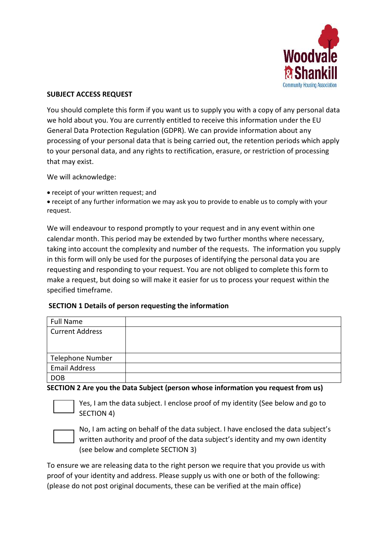

#### **SUBJECT ACCESS REQUEST**

You should complete this form if you want us to supply you with a copy of any personal data we hold about you. You are currently entitled to receive this information under the EU General Data Protection Regulation (GDPR). We can provide information about any processing of your personal data that is being carried out, the retention periods which apply to your personal data, and any rights to rectification, erasure, or restriction of processing that may exist.

We will acknowledge:

• receipt of your written request; and

 receipt of any further information we may ask you to provide to enable us to comply with your request.

We will endeavour to respond promptly to your request and in any event within one calendar month. This period may be extended by two further months where necessary, taking into account the complexity and number of the requests. The information you supply in this form will only be used for the purposes of identifying the personal data you are requesting and responding to your request. You are not obliged to complete this form to make a request, but doing so will make it easier for us to process your request within the specified timeframe.

## **SECTION 1 Details of person requesting the information**

| Full Name               |  |
|-------------------------|--|
| <b>Current Address</b>  |  |
|                         |  |
|                         |  |
| <b>Telephone Number</b> |  |
| <b>Email Address</b>    |  |
| <b>DOB</b>              |  |

#### **SECTION 2 Are you the Data Subject (person whose information you request from us)**



Yes, I am the data subject. I enclose proof of my identity (See below and go to SECTION 4)



No, I am acting on behalf of the data subject. I have enclosed the data subject's written authority and proof of the data subject's identity and my own identity (see below and complete SECTION 3)

To ensure we are releasing data to the right person we require that you provide us with proof of your identity and address. Please supply us with one or both of the following: (please do not post original documents, these can be verified at the main office)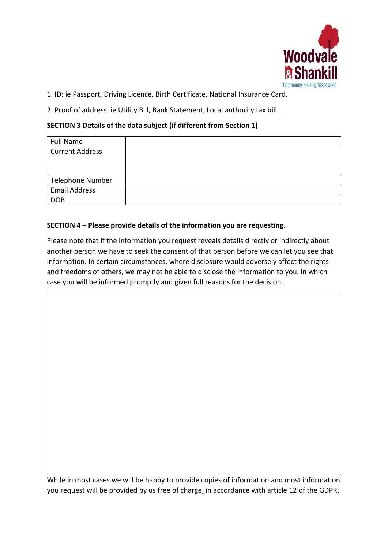

1. ID: ie Passport, Driving Licence, Birth Certificate, National Insurance Card.

2. Proof of address: ie Utility Bill, Bank Statement, Local authority tax bill.

# **SECTION 3 Details of the data subject (if different from Section 1)**

| <b>Full Name</b>       |  |
|------------------------|--|
| <b>Current Address</b> |  |
|                        |  |
|                        |  |
| Telephone Number       |  |
| <b>Email Address</b>   |  |
| <b>DOB</b>             |  |

# **SECTION 4 – Please provide details of the information you are requesting.**

Please note that if the information you request reveals details directly or indirectly about another person we have to seek the consent of that person before we can let you see that information. In certain circumstances, where disclosure would adversely affect the rights and freedoms of others, we may not be able to disclose the information to you, in which case you will be informed promptly and given full reasons for the decision.

While in most cases we will be happy to provide copies of information and most information you request will be provided by us free of charge, in accordance with article 12 of the GDPR,